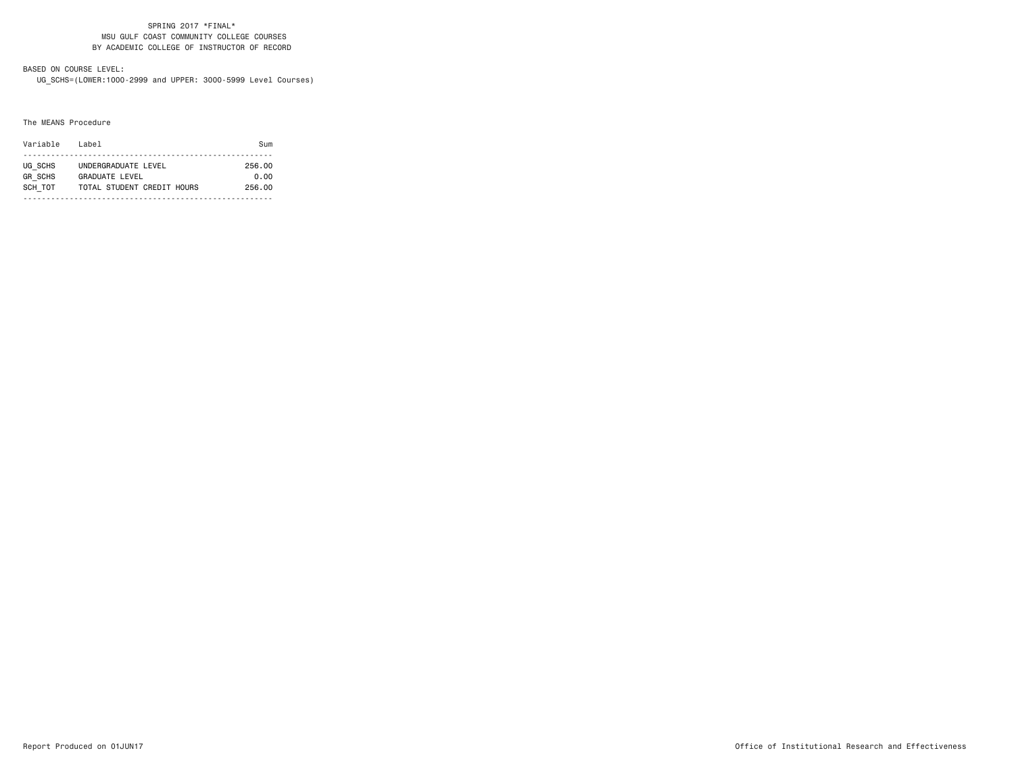#### SPRING 2017 \*FINAL\* MSU GULF COAST COMMUNITY COLLEGE COURSES BY ACADEMIC COLLEGE OF INSTRUCTOR OF RECORD

# BASED ON COURSE LEVEL:

UG\_SCHS=(LOWER:1000-2999 and UPPER: 3000-5999 Level Courses)

#### The MEANS Procedure

| Variable       | Label                      | $S1$ m |
|----------------|----------------------------|--------|
|                |                            |        |
| UG SCHS        | UNDERGRADUATE LEVEL        | 256.00 |
| <b>GR SCHS</b> | GRADUATE LEVEL             | 0.00   |
| SCH TOT        | TOTAL STUDENT CREDIT HOURS | 256.00 |
|                |                            |        |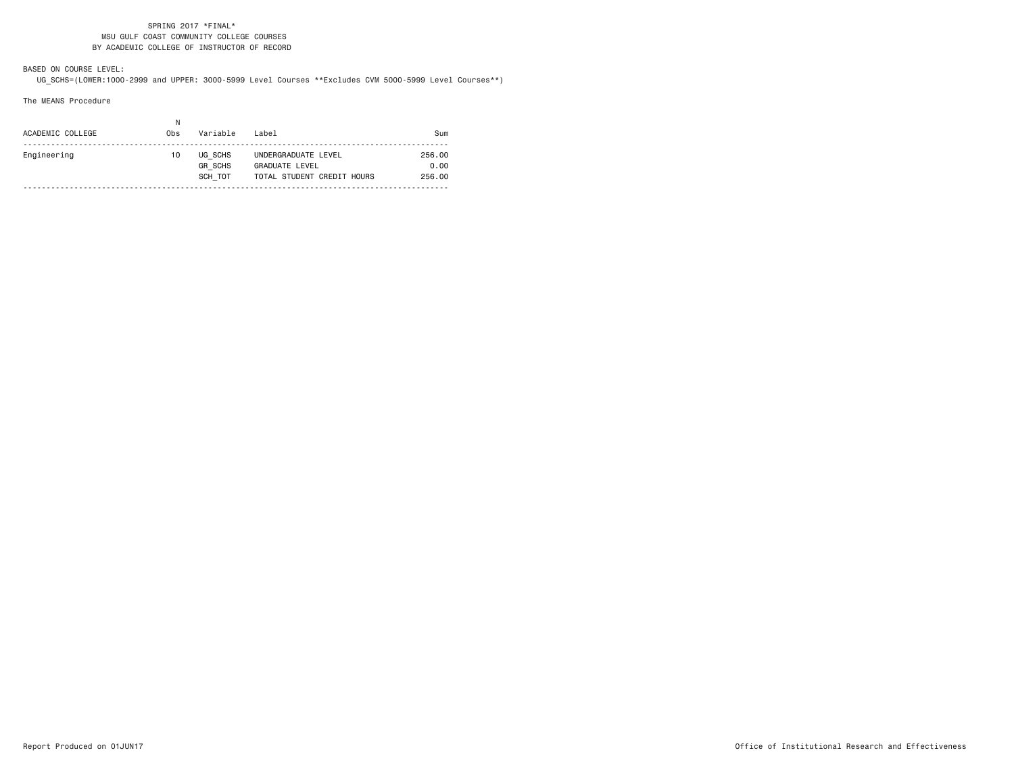#### SPRING 2017 \*FINAL\* MSU GULF COAST COMMUNITY COLLEGE COURSES BY ACADEMIC COLLEGE OF INSTRUCTOR OF RECORD

BASED ON COURSE LEVEL:UG\_SCHS=(LOWER:1000-2999 and UPPER: 3000-5999 Level Courses \*\*Excludes CVM 5000-5999 Level Courses\*\*)

The MEANS Procedure

| ACADEMIC COLLEGE | N<br>Obs | Variable                             | l ahel                                                                     | Sum                      |
|------------------|----------|--------------------------------------|----------------------------------------------------------------------------|--------------------------|
| Engineering      | 10       | UG SCHS<br><b>GR SCHS</b><br>SCH TOT | UNDERGRADUATE LEVEL<br><b>GRADUATE LEVEL</b><br>TOTAL STUDENT CREDIT HOURS | 256.00<br>0.00<br>256.00 |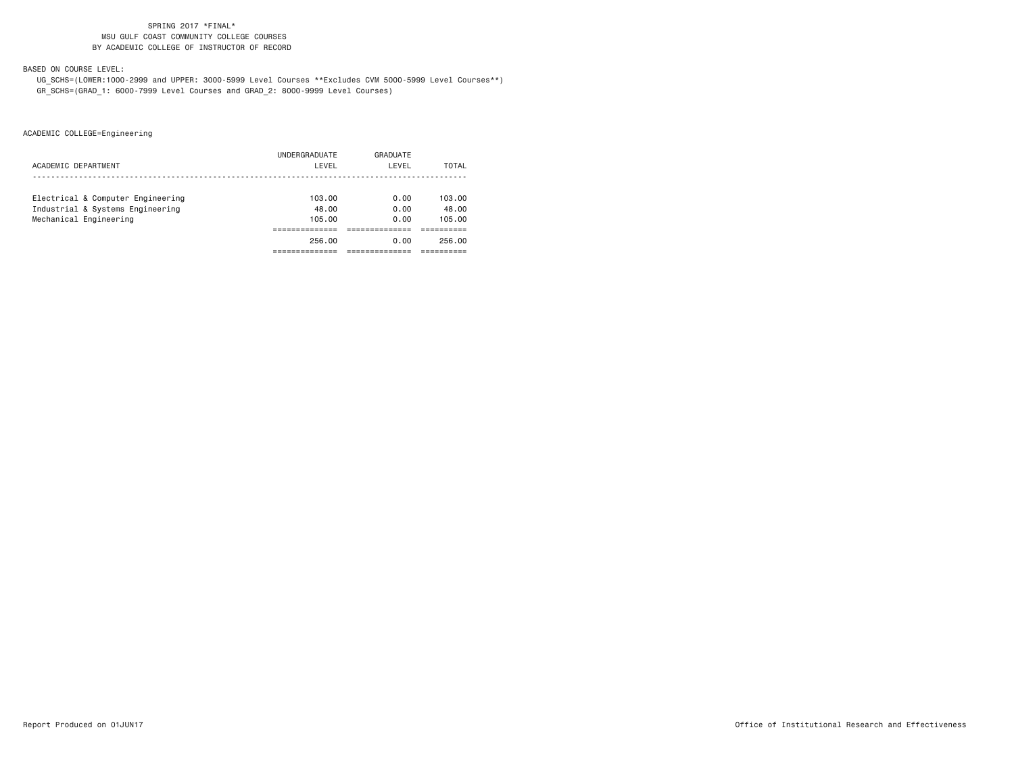# SPRING 2017 \*FINAL\* MSU GULF COAST COMMUNITY COLLEGE COURSESBY ACADEMIC COLLEGE OF INSTRUCTOR OF RECORD

BASED ON COURSE LEVEL:

 UG\_SCHS=(LOWER:1000-2999 and UPPER: 3000-5999 Level Courses \*\*Excludes CVM 5000-5999 Level Courses\*\*) GR\_SCHS=(GRAD\_1: 6000-7999 Level Courses and GRAD\_2: 8000-9999 Level Courses)

ACADEMIC COLLEGE=Engineering

| ACADEMIC DEPARTMENT               | UNDERGRADUATE<br>LEVEL | GRADUATE<br>LEVEL | TOTAL  |
|-----------------------------------|------------------------|-------------------|--------|
| Electrical & Computer Engineering | 103.00                 | 0.00              | 103.00 |
| Industrial & Systems Engineering  | 48.00                  | 0.00              | 48.00  |
| Mechanical Engineering            | 105.00                 | 0.00              | 105.00 |
|                                   |                        |                   |        |
|                                   | 256.00                 | 0.00              | 256.00 |
|                                   |                        |                   |        |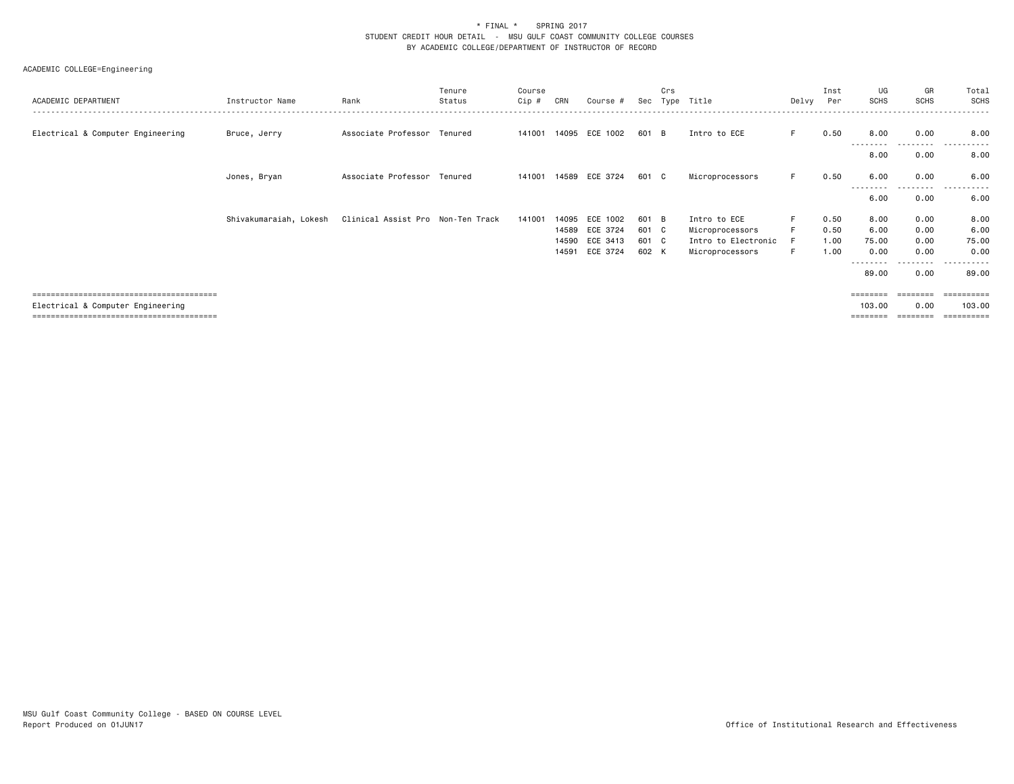### \* FINAL \* SPRING 2017 STUDENT CREDIT HOUR DETAIL - MSU GULF COAST COMMUNITY COLLEGE COURSESBY ACADEMIC COLLEGE/DEPARTMENT OF INSTRUCTOR OF RECORD

# ACADEMIC COLLEGE=Engineering

| ACADEMIC DEPARTMENT               | Instructor Name        | Rank                              | Tenure<br>Status | Course<br>$Cip$ # | CRN   | Course #       | Sec   | Crs<br>Type | Title               | Delvy | Inst<br>Per | UG<br>SCHS        | GR<br><b>SCHS</b> | Total<br>SCHS   |
|-----------------------------------|------------------------|-----------------------------------|------------------|-------------------|-------|----------------|-------|-------------|---------------------|-------|-------------|-------------------|-------------------|-----------------|
| Electrical & Computer Engineering | Bruce, Jerry           | Associate Professor Tenured       |                  | 141001            |       | 14095 ECE 1002 | 601 B |             | Intro to ECE        | F.    | 0.50        | 8.00<br>------    | 0.00<br>------    | 8.00<br>$- - -$ |
|                                   |                        |                                   |                  |                   |       |                |       |             |                     |       |             | 8.00              | 0.00              | 8.00            |
|                                   | Jones, Bryan           | Associate Professor Tenured       |                  | 141001            |       | 14589 ECE 3724 | 601 C |             | Microprocessors     | F.    | 0.50        | 6.00<br>-----     | 0.00<br>.         | 6.00<br>$- - -$ |
|                                   |                        |                                   |                  |                   |       |                |       |             |                     |       |             | 6.00              | 0.00              | 6.00            |
|                                   | Shivakumaraiah, Lokesh | Clinical Assist Pro Non-Ten Track |                  | 141001            | 14095 | ECE 1002       | 601 B |             | Intro to ECE        | F.    | 0.50        | 8.00              | 0.00              | 8.00            |
|                                   |                        |                                   |                  |                   |       | 14589 ECE 3724 | 601 C |             | Microprocessors     | F     | 0.50        | 6.00              | 0.00              | 6.00            |
|                                   |                        |                                   |                  |                   |       | 14590 ECE 3413 | 601 C |             | Intro to Electronic | F     | 1.00        | 75.00             | 0.00              | 75.00           |
|                                   |                        |                                   |                  |                   | 14591 | ECE 3724       | 602 K |             | Microprocessors     | F.    | 1.00        | 0.00              | 0.00              | 0.00            |
|                                   |                        |                                   |                  |                   |       |                |       |             |                     |       |             | --------<br>89.00 | 0.00              | 89.00           |
|                                   |                        |                                   |                  |                   |       |                |       |             |                     |       |             | ========          | ========          | ==========      |
| Electrical & Computer Engineering |                        |                                   |                  |                   |       |                |       |             |                     |       |             | 103.00            | 0.00              | 103.00          |

======================================== ======== ======== ==========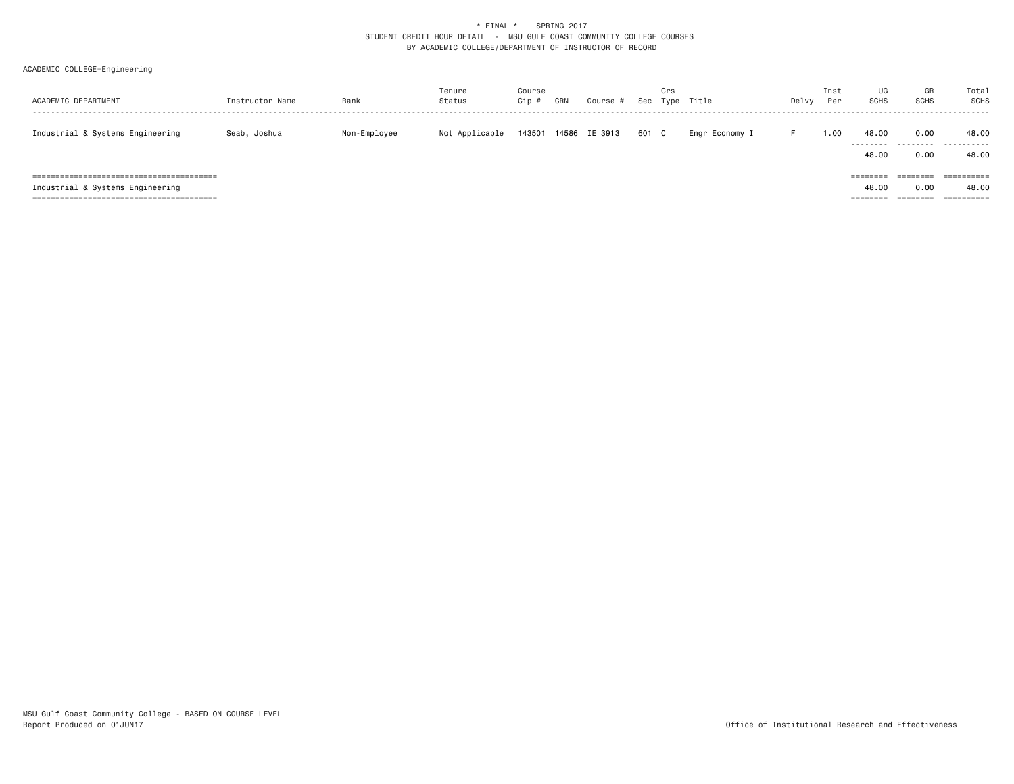# \* FINAL \* SPRING 2017 STUDENT CREDIT HOUR DETAIL - MSU GULF COAST COMMUNITY COLLEGE COURSESBY ACADEMIC COLLEGE/DEPARTMENT OF INSTRUCTOR OF RECORD

# ACADEMIC COLLEGE=Engineering

| ACADEMIC DEPARTMENT                                                      | Instructor Name | Rank         | Tenure<br>Status | Course<br>Cip # | CRN | Course #      | Sec   | Crs | Type Title     | Delvy | Inst<br>Per | UG<br><b>SCHS</b>           | GR<br><b>SCHS</b> | Total<br>SCHS                     |
|--------------------------------------------------------------------------|-----------------|--------------|------------------|-----------------|-----|---------------|-------|-----|----------------|-------|-------------|-----------------------------|-------------------|-----------------------------------|
| Industrial & Systems Engineering                                         | Seab, Joshua    | Non-Employee | Not Applicable   | 143501          |     | 14586 IE 3913 | 601 C |     | Engr Economy I |       | 00.1        | 48.00<br>---------<br>48.00 | 0.00<br>.<br>0.00 | 48.00<br>.<br>48.00               |
| Industrial & Systems Engineering<br>==================================== |                 |              |                  |                 |     |               |       |     |                |       |             | 48.00<br>=====              | 0.00<br>=======   | ==========<br>48.00<br>========== |